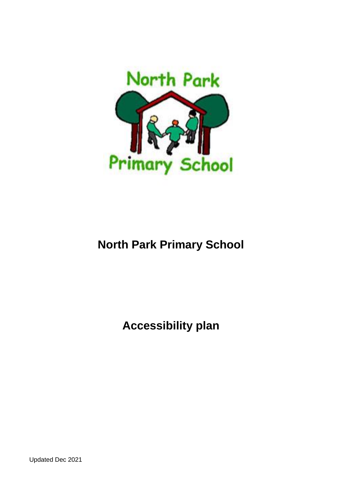

# **North Park Primary School**

**Accessibility plan**

Updated Dec 2021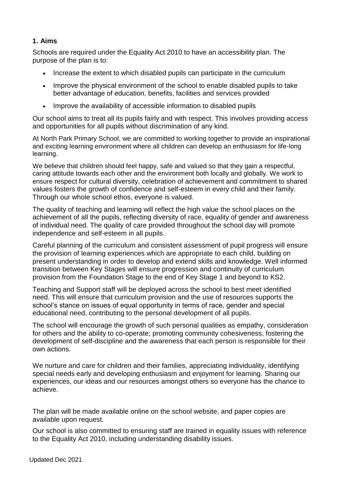## **1. Aims**

Schools are required under the Equality Act 2010 to have an accessibility plan. The purpose of the plan is to:

- Increase the extent to which disabled pupils can participate in the curriculum
- Improve the physical environment of the school to enable disabled pupils to take better advantage of education, benefits, facilities and services provided
- Improve the availability of accessible information to disabled pupils

Our school aims to treat all its pupils fairly and with respect. This involves providing access and opportunities for all pupils without discrimination of any kind.

At North Park Primary School, we are committed to working together to provide an inspirational and exciting learning environment where all children can develop an enthusiasm for life-long learning.

We believe that children should feel happy, safe and valued so that they gain a respectful. caring attitude towards each other and the environment both locally and globally. We work to ensure respect for cultural diversity, celebration of achievement and commitment to shared values fosters the growth of confidence and self-esteem in every child and their family. Through our whole school ethos, everyone is valued.

The quality of teaching and learning will reflect the high value the school places on the achievement of all the pupils, reflecting diversity of race, equality of gender and awareness of individual need. The quality of care provided throughout the school day will promote independence and self-esteem in all pupils.

Careful planning of the curriculum and consistent assessment of pupil progress will ensure the provision of learning experiences which are appropriate to each child, building on present understanding in order to develop and extend skills and knowledge. Well informed transition between Key Stages will ensure progression and continuity of curriculum provision from the Foundation Stage to the end of Key Stage 1 and beyond to KS2.

Teaching and Support staff will be deployed across the school to best meet identified need. This will ensure that curriculum provision and the use of resources supports the school's stance on issues of equal opportunity in terms of race, gender and special educational need, contributing to the personal development of all pupils.

The school will encourage the growth of such personal qualities as empathy, consideration for others and the ability to co-operate; promoting community cohesiveness, fostering the development of self-discipline and the awareness that each person is responsible for their own actions.

We nurture and care for children and their families, appreciating individuality, identifying special needs early and developing enthusiasm and enjoyment for learning. Sharing our experiences, our ideas and our resources amongst others so everyone has the chance to achieve.

The plan will be made available online on the school website, and paper copies are available upon request.

Our school is also committed to ensuring staff are trained in equality issues with reference to the Equality Act 2010, including understanding disability issues.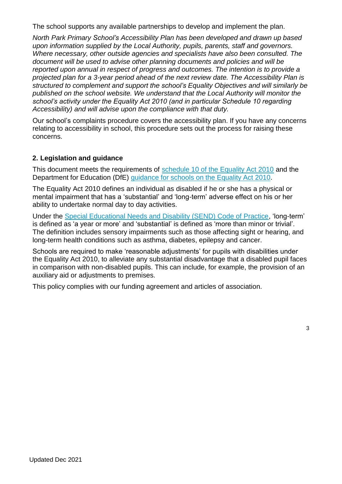The school supports any available partnerships to develop and implement the plan.

*North Park Primary School's Accessibility Plan has been developed and drawn up based upon information supplied by the Local Authority, pupils, parents, staff and governors. Where necessary, other outside agencies and specialists have also been consulted. The document will be used to advise other planning documents and policies and will be reported upon annual in respect of progress and outcomes. The intention is to provide a projected plan for a 3-year period ahead of the next review date. The Accessibility Plan is structured to complement and support the school's Equality Objectives and will similarly be published on the school website. We understand that the Local Authority will monitor the school's activity under the Equality Act 2010 (and in particular Schedule 10 regarding Accessibility) and will advise upon the compliance with that duty.*

Our school's complaints procedure covers the accessibility plan. If you have any concerns relating to accessibility in school, this procedure sets out the process for raising these concerns.

## **2. Legislation and guidance**

This document meets the requirements of [schedule 10 of the Equality Act 2010](http://www.legislation.gov.uk/ukpga/2010/15/schedule/10) and the Department for Education (DfE) [guidance](https://www.gov.uk/government/publications/equality-act-2010-advice-for-schools) for schools on the Equality Act 2010.

The Equality Act 2010 defines an individual as disabled if he or she has a physical or mental impairment that has a 'substantial' and 'long-term' adverse effect on his or her ability to undertake normal day to day activities.

Under the [Special Educational Needs and Disability \(SEND\) Code of Practice,](https://www.gov.uk/government/publications/send-code-of-practice-0-to-25) 'long-term' is defined as 'a year or more' and 'substantial' is defined as 'more than minor or trivial'. The definition includes sensory impairments such as those affecting sight or hearing, and long-term health conditions such as asthma, diabetes, epilepsy and cancer.

Schools are required to make 'reasonable adjustments' for pupils with disabilities under the Equality Act 2010, to alleviate any substantial disadvantage that a disabled pupil faces in comparison with non-disabled pupils. This can include, for example, the provision of an auxiliary aid or adjustments to premises.

This policy complies with our funding agreement and articles of association.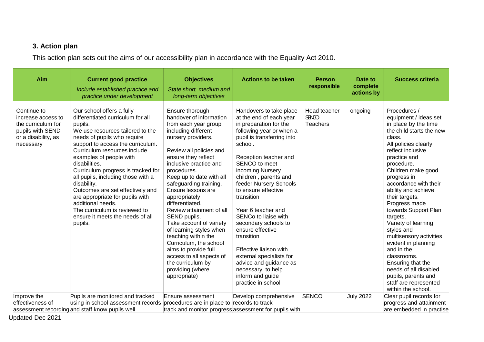## **3. Action plan**

This action plan sets out the aims of our accessibility plan in accordance with the Equality Act 2010.

| Aim                                                                                                             | <b>Current good practice</b><br>Include established practice and<br>practice under development                                                                                                                                                                                                                                                                                                                                                                                                                                       | <b>Objectives</b><br>State short, medium and<br>long-term objectives                                                                                                                                                                                                                                                                                                                                                                                                                                                                                                                       | <b>Actions to be taken</b>                                                                                                                                                                                                                                                                                                                                                                                                                                                                                                                                      | <b>Person</b><br>responsible             | Date to<br>complete<br>actions by | <b>Success criteria</b>                                                                                                                                                                                                                                                                                                                                                                                                                                                                                                                                                            |
|-----------------------------------------------------------------------------------------------------------------|--------------------------------------------------------------------------------------------------------------------------------------------------------------------------------------------------------------------------------------------------------------------------------------------------------------------------------------------------------------------------------------------------------------------------------------------------------------------------------------------------------------------------------------|--------------------------------------------------------------------------------------------------------------------------------------------------------------------------------------------------------------------------------------------------------------------------------------------------------------------------------------------------------------------------------------------------------------------------------------------------------------------------------------------------------------------------------------------------------------------------------------------|-----------------------------------------------------------------------------------------------------------------------------------------------------------------------------------------------------------------------------------------------------------------------------------------------------------------------------------------------------------------------------------------------------------------------------------------------------------------------------------------------------------------------------------------------------------------|------------------------------------------|-----------------------------------|------------------------------------------------------------------------------------------------------------------------------------------------------------------------------------------------------------------------------------------------------------------------------------------------------------------------------------------------------------------------------------------------------------------------------------------------------------------------------------------------------------------------------------------------------------------------------------|
| Continue to<br>increase access to<br>the curriculum for<br>pupils with SEND<br>or a disability, as<br>necessary | Our school offers a fully<br>differentiated curriculum for all<br>pupils.<br>We use resources tailored to the<br>needs of pupils who require<br>support to access the curriculum.<br>Curriculum resources include<br>examples of people with<br>disabilities.<br>Curriculum progress is tracked for<br>all pupils, including those with a<br>disability.<br>Outcomes are set effectively and<br>are appropriate for pupils with<br>additional needs.<br>The curriculum is reviewed to<br>ensure it meets the needs of all<br>pupils. | Ensure thorough<br>handover of information<br>from each year group<br>including different<br>nursery providers.<br>Review all policies and<br>ensure they reflect<br>inclusive practice and<br>procedures.<br>Keep up to date with all<br>safeguarding training.<br>Ensure lessons are<br>appropriately<br>differentiated.<br>Review attainment of all<br>SEND pupils.<br>Take account of variety<br>of learning styles when<br>teaching within the<br>Curriculum, the school<br>aims to provide full<br>access to all aspects of<br>the curriculum by<br>providing (where<br>appropriate) | Handovers to take place<br>at the end of each year<br>in preparation for the<br>following year or when a<br>pupil is transferring into<br>school.<br>Reception teacher and<br>SENCO to meet<br>incoming Nursery<br>children, parents and<br>feeder Nursery Schools<br>to ensure effective<br>transition<br>Year 6 teacher and<br>SENCo to liaise with<br>secondary schools to<br>ensure effective<br>transition<br>Effective liaison with<br>external specialists for<br>advice and guidance as<br>necessary, to help<br>inform and guide<br>practice in school | Head teacher<br><b>COVER</b><br>Teachers | ongoing                           | Procedures /<br>equipment / ideas set<br>in place by the time<br>the child starts the new<br>class.<br>All policies clearly<br>reflect inclusive<br>practice and<br>procedure.<br>Children make good<br>progress in<br>accordance with their<br>ability and achieve<br>their targets.<br>Progress made<br>towards Support Plan<br>targets.<br>Variety of learning<br>styles and<br>multisensory activities<br>evident in planning<br>and in the<br>classrooms.<br>Ensuring that the<br>needs of all disabled<br>pupils, parents and<br>staff are represented<br>within the school. |
| Improve the                                                                                                     | Pupils are monitored and tracked                                                                                                                                                                                                                                                                                                                                                                                                                                                                                                     | Ensure assessment                                                                                                                                                                                                                                                                                                                                                                                                                                                                                                                                                                          | Develop comprehensive                                                                                                                                                                                                                                                                                                                                                                                                                                                                                                                                           | <b>SENCO</b>                             | <b>July 2022</b>                  | Clear pupil records for                                                                                                                                                                                                                                                                                                                                                                                                                                                                                                                                                            |
| effectiveness of                                                                                                | using in school assessment records procedures are in place to records to track                                                                                                                                                                                                                                                                                                                                                                                                                                                       |                                                                                                                                                                                                                                                                                                                                                                                                                                                                                                                                                                                            |                                                                                                                                                                                                                                                                                                                                                                                                                                                                                                                                                                 |                                          |                                   | progress and attainment                                                                                                                                                                                                                                                                                                                                                                                                                                                                                                                                                            |
|                                                                                                                 | assessment recording and staff know pupils well                                                                                                                                                                                                                                                                                                                                                                                                                                                                                      |                                                                                                                                                                                                                                                                                                                                                                                                                                                                                                                                                                                            | track and monitor progress assessment for pupils with                                                                                                                                                                                                                                                                                                                                                                                                                                                                                                           |                                          |                                   | are embedded in practise                                                                                                                                                                                                                                                                                                                                                                                                                                                                                                                                                           |

Updated Dec 2021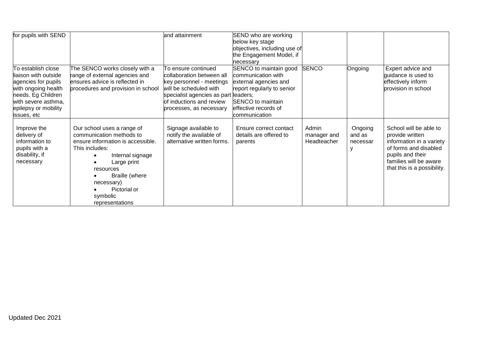| for pupils with SEND |                                    | and attainment                       | SEND who are working         |              |          |                             |
|----------------------|------------------------------------|--------------------------------------|------------------------------|--------------|----------|-----------------------------|
|                      |                                    |                                      | below key stage              |              |          |                             |
|                      |                                    |                                      | objectives, including use of |              |          |                             |
|                      |                                    |                                      | the Engagement Model, if     |              |          |                             |
|                      |                                    |                                      | necessary                    |              |          |                             |
| To establish close   | The SENCO works closely with a     | To ensure continued                  | SENCO to maintain good       | <b>SENCO</b> | Ongoing  | Expert advice and           |
| liaison with outside | range of external agencies and     | collaboration between all            | communication with           |              |          | guidance is used to         |
| agencies for pupils  | ensures advice is reflected in     | key personnel - meetings             | external agencies and        |              |          | effectively inform          |
| with ongoing health  | procedures and provision in school | will be scheduled with               | report regularly to senior   |              |          | provision in school         |
| needs. Eg Children   |                                    | specialist agencies as part leaders; |                              |              |          |                             |
| with severe asthma,  |                                    | of inductions and review             | SENCO to maintain            |              |          |                             |
| epilepsy or mobility |                                    | processes, as necessary              | effective records of         |              |          |                             |
| issues, etc          |                                    |                                      | communication                |              |          |                             |
|                      |                                    |                                      |                              |              |          |                             |
| Improve the          | Our school uses a range of         | Signage available to                 | Ensure correct contact       | Admin        | Ongoing  | School will be able to      |
| delivery of          | communication methods to           | notify the available of              | details are offered to       | manager and  | and as   | provide written             |
| information to       | ensure information is accessible.  | alternative written forms.           | parents                      | Headteacher  | necessar | information in a variety    |
| pupils with a        | This includes:                     |                                      |                              |              | ۷        | of forms and disabled       |
| disability, if       | Internal signage                   |                                      |                              |              |          | pupils and their            |
| necessary            | Large print                        |                                      |                              |              |          | families will be aware      |
|                      | resources                          |                                      |                              |              |          | that this is a possibility. |
|                      | Braille (where                     |                                      |                              |              |          |                             |
|                      | necessary)                         |                                      |                              |              |          |                             |
|                      | Pictorial or                       |                                      |                              |              |          |                             |
|                      | symbolic                           |                                      |                              |              |          |                             |
|                      | representations                    |                                      |                              |              |          |                             |